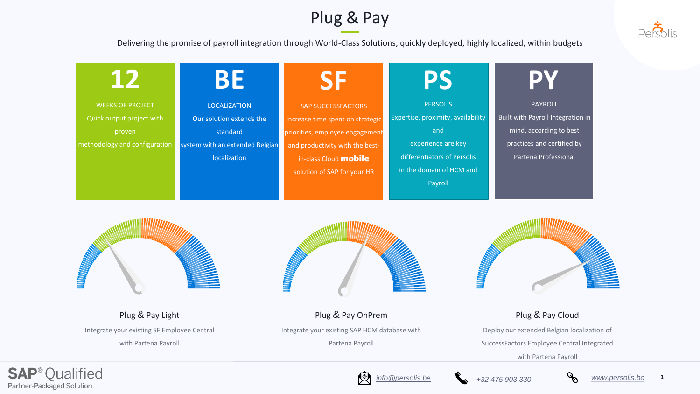

### Plug & Pay

WEEKS OF PROJECT Quick output project with proven methodology and configuration



LOCALIZATION Our solution extends the standard system with an extended Belgian localization



SAP SUCCESSFACTORS Increase time spent on strategic priorities, employee engagement and productivity with the bestin-class Cloud **mobile** solution of SAP for your HR





PERSOLIS Expertise, proximity, availability and experience are key differentiators of Persolis in the domain of HCM and Payroll

## **BE**



### **PS**

Delivering the promise of payroll integration through World-Class Solutions, quickly deployed, highly localized, within budgets

Plug & Pay Light

Integrate your existing SF Employee Central

with Partena Payroll

### Plug & Pay OnPrem

Integrate your existing SAP HCM database with



Partena Payroll

### Plug & Pay Cloud

Deploy our extended Belgian localization of SuccessFactors Employee Central Integrated

with Partena Payroll









PAYROLL Built with Payroll Integration in mind, according to best practices and certified by Partena Professional



### **PY**